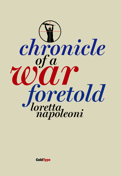

**ColdType**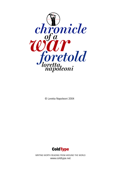

© Loretta Napoleoni 2004



WRITING WORTH READING FROM AROUND THE WORLD www.coldtype.net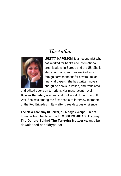### *The Author*



**LORETTA NAPOLEONI** is an economist who has worked for banks and international organisations in Europe and the US. She is also a journalist and has worked as a foreign correspondent for several Italian financial papers. She has written novels and guide books in Italian, and translated

and edited books on terrorism. Her most recent novel, **Dossier Baghdad***,* is a financial thriller set during the Gulf War. She was among the first people to interview members of the Red Brigades in Italy after three decades of silence.

**The New Economy Of Terror**, a 36-page excerpt – in pdf format – from her latest book, **MODERN JIHAD, Tracing The Dollars Behind The Terrorist Networks**, may be downloaded at coldtype.net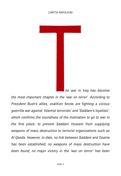#### LORETTA NAPOLEONI



*he war in Iraq has become the most important chapter in the 'war on terror'. According to President Bush's allies, coalition forces are fighting a vicious guerrilla war against 'Islamist terrorists' and 'Saddam's loyalists', which confirms the soundness of the motivation to go to war in the first place: to prevent Saddam Hussein from supplying weapons of mass destruction to terrorist organizations such as Al Qaeda. However, to date, no link between Saddam and Osama has been established; no weapons of mass destruction have been found; no major victory in the 'war on terror' has been*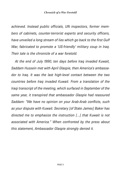*achieved. Instead public officials, UN inspectors, former members of cabinets, counter-terrorist experts and security officers, have unveiled a long stream of lies which go back to the first Gulf War, fabricated to promote a 'US-friendly' military coup in Iraq. Their tale is the chronicle of a war foretold.*

*At the end of July 1990, ten days before Iraq invaded Kuwait, Saddam Hussein met with April Glaspie, then America's ambassador to Iraq. It was the last high-level contact between the two countries before Iraq invaded Kuwait. From a translation of the Iraqi transcript of the meeting, which surfaced in September of the same year, it transpired that ambassador Glaspie had reassured Saddam: "We have no opinion on your Arab-Arab conflicts, such as your dispute with Kuwait. Secretary [of State James] Baker has directed me to emphasize the instruction [...] that Kuwait is not associated with America." When confronted by the press about this statement, Ambassador Glaspie strongly denied it.*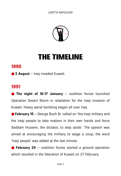

# THE TIMELINE

#### **1990**

● **2 August** – Iraq invaded Kuwait.

### **1991**

**• The night of 16-17 January** – coalition forces launched Operation Desert Storm in retaliation for the Iraqi invasion of Kuwait. Heavy aerial bombing began all over Iraq.

● **February 15** – George Bush Sr. called on 'the Iraqi military and the Iraqi people to take matters in their own hands and force Saddam Hussein, the dictator, to step aside'. The speech was aimed at encouraging the military to stage a coup; the word 'Iraqi people' was added at the last minute.

● **February 24** – coalition forces started a ground operation which resulted in the liberation of Kuwait on 27 February.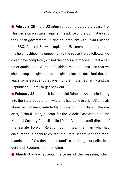● **February 28** – the US administration ordered the cease fire. This decision was taken against the advice of the US military and the British government. During an interview with David Frost on the BBC, General Schwarzkopf, the US commander-in- chief in the field, justified his opposition to the cease fire as follows: "we could have completely closed the doors and made it in fact a battle of annihilation. And the President made the decision that we should stop at a given time, at a given place, [a decision] that did leave some escape routes open for them [the Iraqi army and the Republican Guard] to get back out..."

● **February 28** – Kurdish leader Jalal Talabani was denied entry into the State Department where he had gone to brief US officials about an imminent anti-Saddam uprising in Kurdistan. The day after, Richard Haas, director for the Middle East Affairs on the National Security Council, called Peter Galbraith, staff director of the Senate Foreign Relation Committee, the man who had encouraged Talabani to contact the State Department and reprimanded him. "You don't understand", said Haas, "our policy is to get rid of Saddam, not his regime."

● **March 3** – Iraq accepts the terms of the ceasefire, which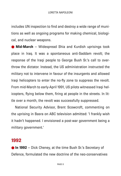includes UN inspection to find and destroy a wide range of munitions as well as ongoing programs for making chemical, biological, and nuclear weapons.

● **Mid-March** – Widespread Shia and Kurdish uprisings took place in Iraq. It was a spontaneous anti-Saddam revolt; the response of the Iraqi people to George Bush Sr.'s call to overthrow the dictator. Instead, the US administration instructed the military not to intervene in favour of the insurgents and allowed Iraqi helicopters to enter the no-fly zone to suppress the revolt. From mid-March to early-April 1991, US pilots witnessed Iraqi helicopters, flying below them, firing at people in the streets. In little over a month, the revolt was successfully suppressed.

National Security Advisor, Brent Scowcroft, commenting on the uprising in Basra on ABC television admitted: 'I frankly wish it hadn't happened. I envisioned a post-war government being a military government.'

#### **1992**

**• In 1992** – Dick Cheney, at the time Bush Sr.'s Secretary of Defence, formulated the new doctrine of the neo-conservatives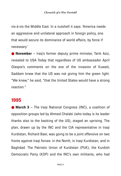vis-à-vis the Middle East. In a nutshell it says: 'America needs an aggressive and unilateral approach in foreign policy, one that would secure its dominance of world affairs, by force if necessary.'

● **November** – Iraq's former deputy prime minister, Tarik Aziz, revealed to USA Today that regardless of US ambassador April Glaspie's comments on the eve of the invasion of Kuwait, Saddam knew that the US was not giving him the green light. "We knew," he said, "that the United States would have a strong reaction."

#### **1995**

● **March 3** – The Iraqi National Congress (INC), a coalition of opposition groups led by Ahmed Chalabi (who today is its leader thanks also to the backing of the US), staged an uprising. The plan, drawn up by the INC and the CIA representative in Iraqi Kurdistan, Richard Baer, was going to be a joint offensive on two fronts against Iraqi forces: in the North, in Iraqi Kurdistan, and in Baghdad. The Patriotic Union of Kurdistan (PUK), the Kurdish Democratic Party (KDP) and the INC's own militants, who had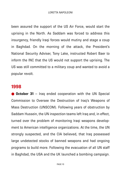been assured the support of the US Air Force, would start the uprising in the North. As Saddam was forced to address this insurgency, friendly Iraqi forces would mutiny and stage a coup in Baghdad. On the morning of the attack, the President's National Security Adviser, Tony Lake, instructed Robert Baer to inform the INC that the US would not support the uprising. The US was still committed to a military coup and wanted to avoid a popular revolt.

#### **1998**

**October 31** – Iraq ended cooperation with the UN Special Commission to Oversee the Destruction of Iraq's Weapons of Mass Destruction (UNSCOM). Following years of obstruction by Saddam Hussein, the UN inspection teams left Iraq and, in effect, turned over the problem of monitoring Iraqi weapons development to American intelligence organizations. At the time, the UN strongly suspected, and the CIA believed, that Iraq possessed large undetected stocks of banned weapons and had ongoing programs to build more. Following the evacuation of all UN staff in Baghdad, the USA and the UK launched a bombing campaign.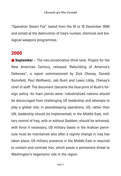"Operation Desert Fox" lasted from the 16 to 19 December 1998 and aimed at the destruction of Iraq's nuclear, chemical and biological weapons programmes.

#### **2000**

● **September** – The neo-conservative think tank, Project for the New American Century, released 'Rebuilding of America's Defenses", a report commissioned by Dick Cheney, Donald Rumsfeld, Paul Wolfowitz, Jeb Bush and Lewis Libby, Cheney's chief of staff. The document (became the blue-print of Bush's foreign policy. Its main points were: industrialized nations should be discouraged from challenging US leadership and attempts to play a global role; in peacekeeping operations, US, rather than UN, leadership should be implemented; in the Middle East, military control of Iraq, with or without Saddam, should be achieved, with force if necessary; US military bases in the Arabian peninsula must be maintained also after a regime change in Iraq has taken place; US military presence in the Middle East is required to contain and contrast Iran, which poses a permanent threat to Washington's hegemonic role in the region.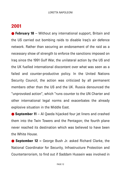#### **2001**

● **February 18** – Without any international support, Britain and the US carried out bombing raids to disable Iraq's air defence network. Rather than securing an endorsement of the raid as a necessary show of strength to enforce the sanctions imposed on Iraq since the 1991 Gulf War, the unilateral action by the US and the UK fuelled international discontent over what was seen as a failed and counter-productive policy. In the United Nations Security Council, the action was criticized by all permanent members other than the US and the UK. Russia denounced the "unprovoked action", which "runs counter to the UN Charter and other international legal norms and exacerbates the already explosive situation in the Middle East.

● **September 11** – Al Qaeda hijacked four jet liners and crashed them into the Twin Towers and the Pentagon; the fourth plane never reached its destination which was believed to have been the White House.

● **September 12** – George Bush Jr. asked Richard Clarke, the National Coordinator for Security, Infrastructure Protection and Counterterrorism, to find out if Saddam Hussein was involved in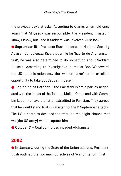the previous day's attacks. According to Clarke, when told once again that Al Qaeda was responsible, the President insisted 'I know, I know, but...see if Saddam was involved. Just look.'

● **September 16** – President Bush indicated to National Security Adviser, Condoleezza Rice that while he 'had to do Afghanistan first', he was also determined to do something about Saddam Hussein. According to investigative journalist Bob Woodward, the US administration saw the 'war on terror' as an excellent opportunity to take out Saddam Hussein.

● **Beginning of October** – the Pakistani Islamic parties negotiated with the leader of the Taliban, Mullah Omar, and with Osama bin Laden, to have the latter extradited to Pakistan. They agreed that he would stand trial in Pakistan for the 11 September attacks. The US authorities declined the offer 'on the slight chance that we [the US army] would capture him.'

● **October 7** – Coalition forces invaded Afghanistan.

#### **2002**

**C** In January, during the State of the Union address, President Bush outlined the two main objectives of 'war on terror': 'first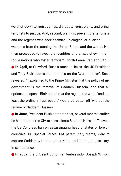we shut down terrorist camps, disrupt terrorist plans, and bring terrorists to justice. And, second, we must prevent the terrorists and the regimes who seek chemical, biological or nuclear weapons from threatening the United States and the world'. He then proceeded to reveal the identities of the 'axis of evil', the rogue nations who foster terrorism: North Korea, Iran and Iraq. **In April**, at Crawford, Bush's ranch in Texas, the US President and Tony Blair addressed the press on the 'war on terror'. Bush revealed: "I explained to the Prime Minister that the policy of my government is the removal of Saddam Hussein, and that all options are open." Blair added that the region, the world 'and not least the ordinary Iraqi people' would be better off 'without the regime of Saddam Hussein.

● **In June**, President Bush admitted that, several months earlier, he had ordered the CIA to assassinate Saddam Hussein. To avoid the US Congress ban on assassinating head of states of foreign countries, US Special Forces, CIA paramilitary teams, were to capture Saddam with the authorization to kill him, if necessary, in self defence.

**. In 2002**, the CIA sent US former Ambassador Joseph Wilson,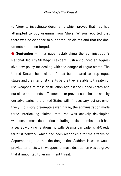to Niger to investigate documents which proved that Iraq had attempted to buy uranium from Africa. Wilson reported that there was no evidence to support such claims and that the documents had been forged.

● **September** – in a paper establishing the administration's National Security Strategy, President Bush announced an aggressive new policy for dealing with the danger of rogue states. The United States, he declared, "must be prepared to stop rogue states and their terrorist clients before they are able to threaten or use weapons of mass destruction against the United States and our allies and friends.... To forestall or prevent such hostile acts by our adversaries, the United States will, if necessary, act pre-emptively." To justify pre-emptive war in Iraq, the administration made three interlocking claims: that Iraq was actively developing weapons of mass destruction including nuclear bombs; that it had a secret working relationship with Osama bin Laden's al-Qaeda terrorist network, which had been responsible for the attacks on September 11; and that the danger that Saddam Hussein would provide terrorists with weapons of mass destruction was so grave that it amounted to an imminent threat.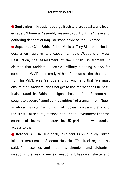● **September** – President George Bush told sceptical world leaders at a UN General Assembly session to confront the "grave and gathering danger" of Iraq - or stand aside as the US acted.

● **September 24** – British Prime Minister Tony Blair published a dossier on Iraq's military capability, Iraq's Weapons of Mass Destruction, the Assessment of the British Government. It claimed that Saddam Hussein's "military planning allows for some of the WMD to be ready within 45 minutes", that the threat from his WMD was "serious and current", and that "we must ensure that [Saddam] does not get to use the weapons he has". It also stated that British intelligence has proof that Saddam had sought to acquire "significant quantities" of uranium from Niger, in Africa, despite having no civil nuclear program that could require it. For security reasons, the British Government kept the sources of the report secret; the UK parliament was denied access to them.

**October 7** – In Cincinnati, President Bush publicly linked Islamist terrorism to Saddam Hussein. "The Iraqi regime,' he said, "...possesses and produces chemical and biological weapons. It is seeking nuclear weapons. It has given shelter and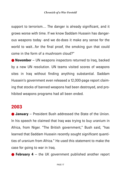support to terrorism.... The danger is already significant, and it grows worse with time. If we know Saddam Hussein has dangerous weapons today -and we do-does it make any sense for the world to wait...for the final proof, the smoking gun that could come in the form of a mushroom cloud?"

● **November** – UN weapons inspectors returned to Iraq, backed by a new UN resolution. UN teams visited scores of weapons sites in Iraq without finding anything substantial. Saddam Hussein's government even released a 12,000-page report claiming that stocks of banned weapons had been destroyed, and prohibited weapons programs had all been ended.

#### **2003**

● **January** – President Bush addressed the State of the Union. In his speech he claimed that Iraq was trying to buy uranium in Africa, from Niger. "The British government," Bush said, "has learned that Saddam Hussein recently sought significant quantities of uranium from Africa." He used this statement to make the case for going to war in Iraq.

● **February 4** – the UK government published another report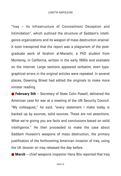"Iraq – Its Infrastructure of Concealment Deception and Intimidation", which outlined the structure of Saddam's intelligence organizations and its weapon of mass destruction arsenal. It soon transpired that the report was a plagiarism of the postgraduate work of Ibrahim al-Marashi, a PhD student from Monterey, in California, written in the early 1990s and available on the internet. Large sections appeared verbatim; even typographical errors in the original articles were repeated. In several places, Downing Street had edited the originals to make more sinister reading.

● **February 5th** – Secretary of State Colin Powell, delivered the American case for war at a meeting of the UN Security Council. "My colleagues," he said, "every statement I make today is backed up by sources, solid sources. These are not assertions. What we're giving you are facts and conclusions based on solid intelligence." He then proceeded to make the case about Saddam Hussein's weapons of mass destruction, the primary justification of the forthcoming American invasion of Iraq, using the UK dossier on Iraq released the day before.

● **March** – chief weapons inspector Hans Blix reported that Iraq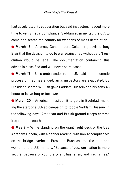had accelerated its cooperation but said inspectors needed more time to verify Iraq's compliance. Saddam even invited the CIA to come and search the country for weapons of mass destruction.

● March 16 – Attorney General, Lord Goldsmith, advised Tony Blair that the decision to go to war against Iraq without a UN resolution would be legal. The documentation containing this advice is classified and will never be released.

● **March 17** – UK's ambassador to the UN said the diplomatic process on Iraq has ended; arms inspectors are evacuated; US President George W Bush gave Saddam Hussein and his sons 48 hours to leave Iraq or face war.

● **March 20** – American missiles hit targets in Baghdad, marking the start of a US-led campaign to topple Saddam Hussein. In the following days, American and British ground troops entered Iraq from the south.

● May 2 – While standing on the giant flight deck of the USS Abraham Lincoln, with a banner reading "Mission Accomplished" on the bridge overhead, President Bush saluted the men and women of the U.S. military. "Because of you, our nation is more secure. Because of you, the tyrant has fallen, and Iraq is free,"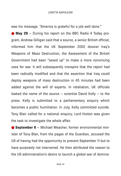was his message. "America is grateful for a job well done."

● May 29 – During his report on the BBC Radio 4 Today program, Andrew Gilligan said that a source, a senior British official, informed him that the UK September 2002 dossier Iraq's Weapons of Mass Destruction, the Assessment of the British Government had been "sexed up" to make a more convincing case for war. It will subsequently transpire that the report had been radically modified and that the assertion that Iraq could deploy weapons of mass destruction in 45 minutes had been added against the will of experts. In retaliation, UK officials leaked the name of the source  $-$  scientist David Kelly  $-$  to the press. Kelly is submitted to a parliamentary enquiry which becomes a public humiliation. In July, Kelly committed suicide. Tony Blair called for a national enquiry; Lord Hutton was given the task to investigate the whole affair.

● **September 6** – Michael Meacher, former environmental minister of Tony Blair, from the pages of the Guardian, accused the US of having had the opportunity to prevent September 11 but to have purposely not intervened. He then attributed the reason to the US administration's desire to launch a global war of domina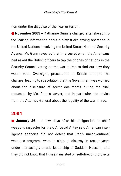tion under the disguise of the 'war or terror'.

● **November 2003** – Katharine Gunn is charged after she admitted leaking information about a dirty tricks spying operation in the United Nations, involving the United States National Security Agency. Ms Gunn revealed that in a secret email the Americans had asked the British officers to tap the phones of nations in the Security Council voting on the war in Iraq to find out how they would vote. Overnight, prosecutors in Britain dropped the charges, leading to speculation that the Government was worried about the disclosure of secret documents during the trial, requested by Ms. Gunn's lawyer, and in particular, the advice from the Attorney General about the legality of the war in Iraq.

#### **2004**

**January 26** – a few days after his resignation as chief weapons inspector for the CIA, David A Kay said American intelligence agencies did not detect that Iraq's unconventional weapons programs were in state of disarray in recent years under increasingly erratic leadership of Saddam Hussein, and they did not know that Hussein insisted on self-directing projects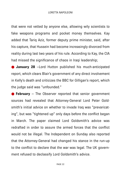that were not vetted by anyone else, allowing wily scientists to fake weapons programs and pocket money themselves. Kay added that Tariq Aziz, former deputy prime minister, said, after his capture, that Hussein had become increasingly divorced from reality during last two years of his rule. According to Kay, the CIA had missed the significance of chaos in Iraqi leadership;

● **January 28** –Lord Hutton published his much-anticipated report, which clears Blair's government of any direct involvement in Kelly's death and criticizes the BBC for Gilligan's report, which the judge said was "unfounded."

● **February** – The Observer reported that senior government sources had revealed that Attorney-General Lord Peter Goldsmith's initial advice on whether to invade Iraq was "prevaricating", but was "tightened up" only days before the conflict began in March. The paper claimed Lord Goldsmith's advice was redrafted in order to assure the armed forces that the conflict would not be illegal. The Independent on Sunday also reported that the Attorney-General had changed his stance in the run-up to the conflict to declare that the war was legal. The UK government refused to declassify Lord Goldsmith's advice.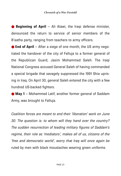● **Beginning of April** – Ali Alawi, the Iraqi defense minister, denounced the return to service of senior members of the B'aatha party, ranging from teachers to army officers.

● **End of April** – After a siege of one month, the US army negotiated the handover of the city of Falluja to a former general of the Republican Guard, Jasim Mohammed Saleh. The Iraqi National Congress accused General Saleh of having commanded a special brigade that savagely suppressed the 1991 Shia uprising in Iraq. On April 30, general Saleh entered the city with a few hundred US-backed fighters.

● May 1 – Mohammed Latif, another former general of Saddam Army, was brought to Falluja.

*Coalition forces are meant to end their 'liberation' work on June 30. The question is: to whom will they hand over the country? The sudden resurrection of leading military figures of Saddam's regime, their role as 'mediators', makes all of us, citizens of the 'free and democratic world', worry that Iraq will once again be* ruled by men with black moustaches wearing green uniforms.